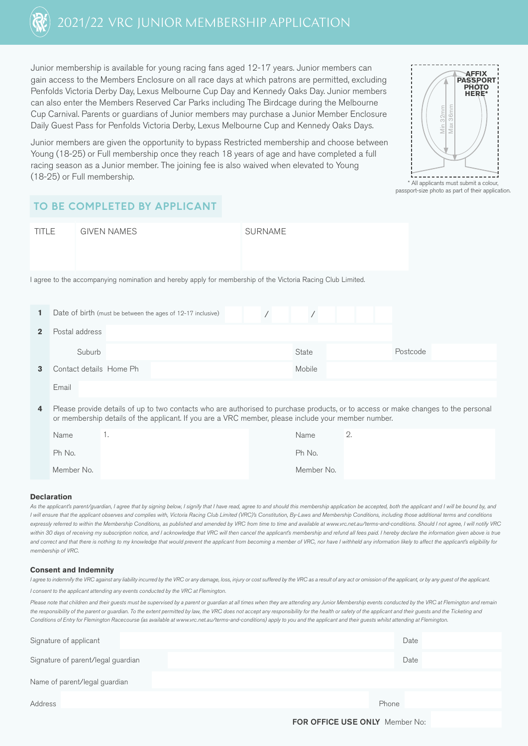

Junior membership is available for young racing fans aged 12-17 years. Junior members can gain access to the Members Enclosure on all race days at which patrons are permitted, excluding Penfolds Victoria Derby Day, Lexus Melbourne Cup Day and Kennedy Oaks Day. Junior members can also enter the Members Reserved Car Parks including The Birdcage during the Melbourne Cup Carnival. Parents or guardians of Junior members may purchase a Junior Member Enclosure Daily Guest Pass for Penfolds Victoria Derby, Lexus Melbourne Cup and Kennedy Oaks Days.

Junior members are given the opportunity to bypass Restricted membership and choose between Young (18-25) or Full membership once they reach 18 years of age and have completed a full racing season as a Junior member. The joining fee is also waived when elevated to Young (18-25) or Full membership.



\* All applicants must submit a colour, passport-size photo as part of their application.

### **TO BE COMPLETED BY APPLICANT**

| <b>TITLE</b> |                | <b>GIVEN NAMES</b> |                         |                                                                                                             |  | <b>SURNAME</b> |  |        |  |  |  |          |  |  |
|--------------|----------------|--------------------|-------------------------|-------------------------------------------------------------------------------------------------------------|--|----------------|--|--------|--|--|--|----------|--|--|
|              |                |                    |                         |                                                                                                             |  |                |  |        |  |  |  |          |  |  |
|              |                |                    |                         |                                                                                                             |  |                |  |        |  |  |  |          |  |  |
|              |                |                    |                         | I agree to the accompanying nomination and hereby apply for membership of the Victoria Racing Club Limited. |  |                |  |        |  |  |  |          |  |  |
|              |                |                    |                         |                                                                                                             |  |                |  |        |  |  |  |          |  |  |
| 1            |                |                    |                         | Date of birth (must be between the ages of 12-17 inclusive)                                                 |  |                |  |        |  |  |  |          |  |  |
| $\mathbf{2}$ | Postal address |                    |                         |                                                                                                             |  |                |  |        |  |  |  |          |  |  |
|              |                | Suburb             |                         |                                                                                                             |  |                |  | State  |  |  |  | Postcode |  |  |
| 3            |                |                    | Contact details Home Ph |                                                                                                             |  |                |  | Mobile |  |  |  |          |  |  |
|              | Email          |                    |                         |                                                                                                             |  |                |  |        |  |  |  |          |  |  |

 **4** Please provide details of up to two contacts who are authorised to purchase products, or to access or make changes to the personal or membership details of the applicant. If you are a VRC member, please include your member number.

| Name       | . . | Name       | $\overline{\phantom{a}}$ |
|------------|-----|------------|--------------------------|
| Ph No.     |     | Ph No.     |                          |
| Member No. |     | Member No. |                          |

#### **Declaration**

As the applicant's parent/guardian, I agree that by signing below, I signify that I have read, agree to and should this membership application be accepted, both the applicant and I will be bound by, and *I will ensure that the applicant observes and complies with, Victoria Racing Club Limited (VRC)'s Constitution, By-Laws and Membership Conditions, including those additional terms and conditions* expressly referred to within the Membership Conditions, as published and amended by VRC from time to time and available at www.vrc.net.au/terms-and-conditions. Should I not agree, I will notify VRC within 30 days of receiving my subscription notice, and I acknowledge that VRC will then cancel the applicant's membership and refund all fees paid. I hereby declare the information given above is true and correct and that there is nothing to my knowledge that would prevent the applicant from becoming a member of VRC, nor have I withheld any information likely to affect the applicant's eligibility for *membership of VRC.*

#### **Consent and Indemnity**

*I agree to indemnify the VRC against any liability incurred by the VRC or any damage, loss, injury or cost suffered by the VRC as a result of any act or omission of the applicant, or by any guest of the applicant. I consent to the applicant attending any events conducted by the VRC at Flemington.*

Please note that children and their quests must be supervised by a parent or guardian at all times when they are attending any Junior Membership events conducted by the VRC at Flemington and remain the responsibility of the parent or guardian. To the extent permitted by law, the VRC does not accept any responsibility for the health or safety of the applicant and their guests and the Ticketing and *Conditions of Entry for Flemington Racecourse (as available at www.vrc.net.au/terms-and-conditions) apply to you and the applicant and their guests whilst attending at Flemington.*

| Signature of applicant             | Date                                  |
|------------------------------------|---------------------------------------|
| Signature of parent/legal guardian | Date                                  |
| Name of parent/legal guardian      |                                       |
| Address                            | Phone                                 |
|                                    | <b>FOR OFFICE USE ONLY</b> Member No: |